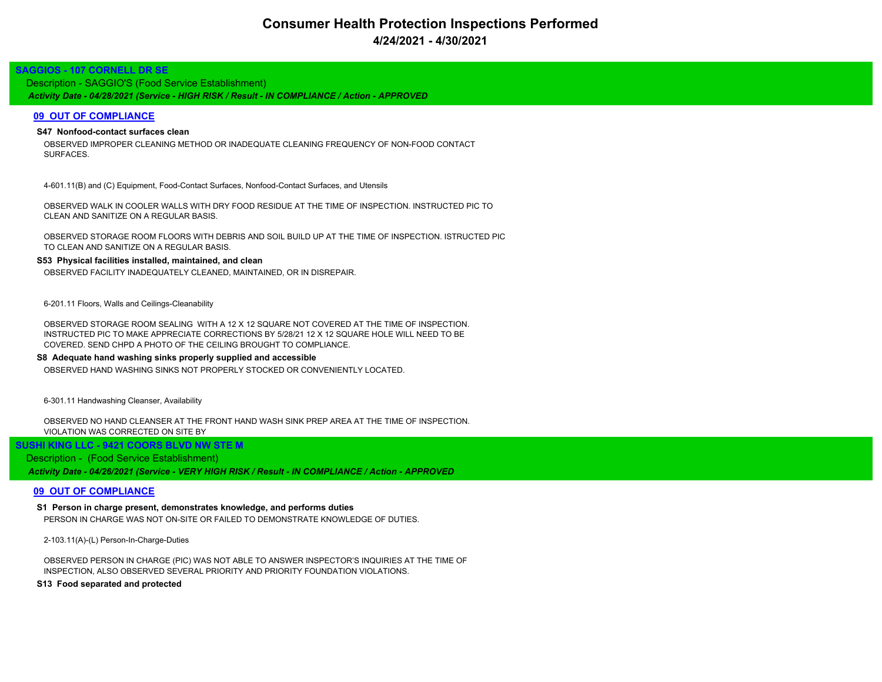# **Consumer Health Protection Inspections Performed 4/24/2021 - 4/30/2021**

# **SAGGIOS - 107 CORNELL DR SE**

*Activity Date - 04/28/2021 (Service - HIGH RISK / Result - IN COMPLIANCE / Action - APPROVED* Description - SAGGIO'S (Food Service Establishment)

# **09 OUT OF COMPLIANCE**

# **S47 Nonfood-contact surfaces clean**

OBSERVED IMPROPER CLEANING METHOD OR INADEQUATE CLEANING FREQUENCY OF NON-FOOD CONTACT SURFACES.

4-601.11(B) and (C) Equipment, Food-Contact Surfaces, Nonfood-Contact Surfaces, and Utensils

OBSERVED WALK IN COOLER WALLS WITH DRY FOOD RESIDUE AT THE TIME OF INSPECTION. INSTRUCTED PIC TO CLEAN AND SANITIZE ON A REGULAR BASIS.

OBSERVED STORAGE ROOM FLOORS WITH DEBRIS AND SOIL BUILD UP AT THE TIME OF INSPECTION. ISTRUCTED PIC TO CLEAN AND SANITIZE ON A REGULAR BASIS.

### **S53 Physical facilities installed, maintained, and clean**

OBSERVED FACILITY INADEQUATELY CLEANED, MAINTAINED, OR IN DISREPAIR.

6-201.11 Floors, Walls and Ceilings-Cleanability

OBSERVED STORAGE ROOM SEALING WITH A 12 X 12 SQUARE NOT COVERED AT THE TIME OF INSPECTION. INSTRUCTED PIC TO MAKE APPRECIATE CORRECTIONS BY 5/28/21 12 X 12 SQUARE HOLE WILL NEED TO BE COVERED. SEND CHPD A PHOTO OF THE CEILING BROUGHT TO COMPLIANCE.

#### **S8 Adequate hand washing sinks properly supplied and accessible**

OBSERVED HAND WASHING SINKS NOT PROPERLY STOCKED OR CONVENIENTLY LOCATED.

6-301.11 Handwashing Cleanser, Availability

OBSERVED NO HAND CLEANSER AT THE FRONT HAND WASH SINK PREP AREA AT THE TIME OF INSPECTION. VIOLATION WAS CORRECTED ON SITE BY

# **SUSHI KING LLC - 9421 COORS BLVD NW STE M**

#### Description - (Food Service Establishment)

*Activity Date - 04/26/2021 (Service - VERY HIGH RISK / Result - IN COMPLIANCE / Action - APPROVED*

## **09 OUT OF COMPLIANCE**

**S1 Person in charge present, demonstrates knowledge, and performs duties** PERSON IN CHARGE WAS NOT ON-SITE OR FAILED TO DEMONSTRATE KNOWLEDGE OF DUTIES.

2-103.11(A)-(L) Person-In-Charge-Duties

OBSERVED PERSON IN CHARGE (PIC) WAS NOT ABLE TO ANSWER INSPECTOR'S INQUIRIES AT THE TIME OF INSPECTION, ALSO OBSERVED SEVERAL PRIORITY AND PRIORITY FOUNDATION VIOLATIONS.

**S13 Food separated and protected**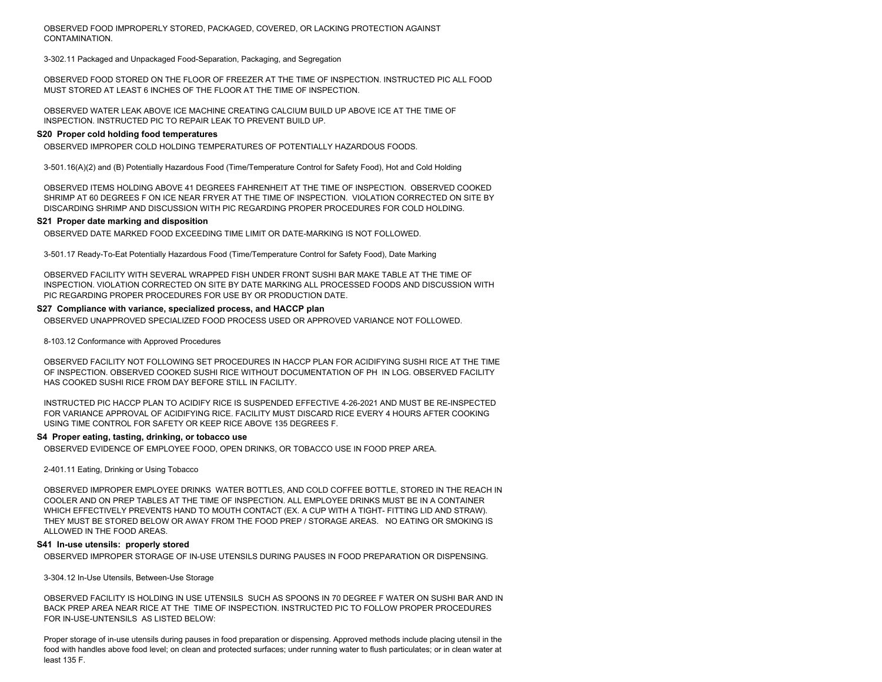OBSERVED FOOD IMPROPERLY STORED, PACKAGED, COVERED, OR LACKING PROTECTION AGAINST CONTAMINATION.

3-302.11 Packaged and Unpackaged Food-Separation, Packaging, and Segregation

OBSERVED FOOD STORED ON THE FLOOR OF FREEZER AT THE TIME OF INSPECTION. INSTRUCTED PIC ALL FOOD MUST STORED AT LEAST 6 INCHES OF THE FLOOR AT THE TIME OF INSPECTION.

OBSERVED WATER LEAK ABOVE ICE MACHINE CREATING CALCIUM BUILD UP ABOVE ICE AT THE TIME OF INSPECTION. INSTRUCTED PIC TO REPAIR LEAK TO PREVENT BUILD UP.

#### **S20 Proper cold holding food temperatures**

OBSERVED IMPROPER COLD HOLDING TEMPERATURES OF POTENTIALLY HAZARDOUS FOODS.

3-501.16(A)(2) and (B) Potentially Hazardous Food (Time/Temperature Control for Safety Food), Hot and Cold Holding

OBSERVED ITEMS HOLDING ABOVE 41 DEGREES FAHRENHEIT AT THE TIME OF INSPECTION. OBSERVED COOKED SHRIMP AT 60 DEGREES F ON ICE NEAR FRYER AT THE TIME OF INSPECTION. VIOLATION CORRECTED ON SITE BY DISCARDING SHRIMP AND DISCUSSION WITH PIC REGARDING PROPER PROCEDURES FOR COLD HOLDING.

#### **S21 Proper date marking and disposition**

OBSERVED DATE MARKED FOOD EXCEEDING TIME LIMIT OR DATE-MARKING IS NOT FOLLOWED.

3-501.17 Ready-To-Eat Potentially Hazardous Food (Time/Temperature Control for Safety Food), Date Marking

OBSERVED FACILITY WITH SEVERAL WRAPPED FISH UNDER FRONT SUSHI BAR MAKE TABLE AT THE TIME OF INSPECTION. VIOLATION CORRECTED ON SITE BY DATE MARKING ALL PROCESSED FOODS AND DISCUSSION WITH PIC REGARDING PROPER PROCEDURES FOR USE BY OR PRODUCTION DATE.

#### **S27 Compliance with variance, specialized process, and HACCP plan**

OBSERVED UNAPPROVED SPECIALIZED FOOD PROCESS USED OR APPROVED VARIANCE NOT FOLLOWED.

8-103.12 Conformance with Approved Procedures

OBSERVED FACILITY NOT FOLLOWING SET PROCEDURES IN HACCP PLAN FOR ACIDIFYING SUSHI RICE AT THE TIME OF INSPECTION. OBSERVED COOKED SUSHI RICE WITHOUT DOCUMENTATION OF PH IN LOG. OBSERVED FACILITY HAS COOKED SUSHI RICE FROM DAY BEFORE STILL IN FACILITY.

INSTRUCTED PIC HACCP PLAN TO ACIDIFY RICE IS SUSPENDED EFFECTIVE 4-26-2021 AND MUST BE RE-INSPECTED FOR VARIANCE APPROVAL OF ACIDIFYING RICE. FACILITY MUST DISCARD RICE EVERY 4 HOURS AFTER COOKING USING TIME CONTROL FOR SAFETY OR KEEP RICE ABOVE 135 DEGREES F.

#### **S4 Proper eating, tasting, drinking, or tobacco use**

OBSERVED EVIDENCE OF EMPLOYEE FOOD, OPEN DRINKS, OR TOBACCO USE IN FOOD PREP AREA.

2-401.11 Eating, Drinking or Using Tobacco

OBSERVED IMPROPER EMPLOYEE DRINKS WATER BOTTLES, AND COLD COFFEE BOTTLE, STORED IN THE REACH IN COOLER AND ON PREP TABLES AT THE TIME OF INSPECTION. ALL EMPLOYEE DRINKS MUST BE IN A CONTAINER WHICH EFFECTIVELY PREVENTS HAND TO MOUTH CONTACT (EX. A CUP WITH A TIGHT- FITTING LID AND STRAW). THEY MUST BE STORED BELOW OR AWAY FROM THE FOOD PREP / STORAGE AREAS. NO EATING OR SMOKING IS ALLOWED IN THE FOOD AREAS.

#### **S41 In-use utensils: properly stored**

OBSERVED IMPROPER STORAGE OF IN-USE UTENSILS DURING PAUSES IN FOOD PREPARATION OR DISPENSING.

3-304.12 In-Use Utensils, Between-Use Storage

OBSERVED FACILITY IS HOLDING IN USE UTENSILS SUCH AS SPOONS IN 70 DEGREE F WATER ON SUSHI BAR AND IN BACK PREP AREA NEAR RICE AT THE TIME OF INSPECTION. INSTRUCTED PIC TO FOLLOW PROPER PROCEDURES FOR IN-USE-UNTENSILS AS LISTED BELOW:

Proper storage of in-use utensils during pauses in food preparation or dispensing. Approved methods include placing utensil in the food with handles above food level; on clean and protected surfaces; under running water to flush particulates; or in clean water at least 135 F.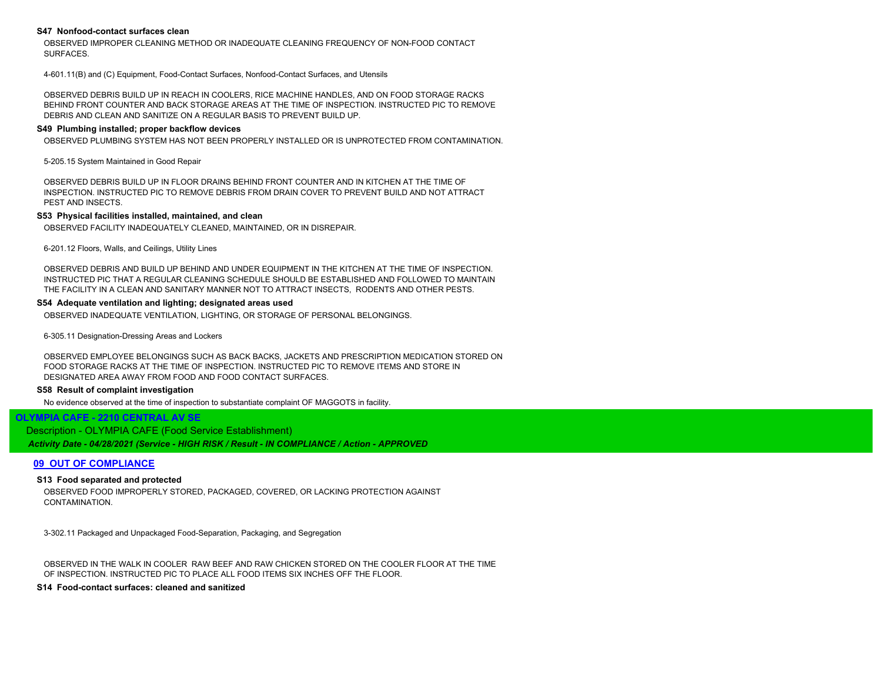### **S47 Nonfood-contact surfaces clean**

OBSERVED IMPROPER CLEANING METHOD OR INADEQUATE CLEANING FREQUENCY OF NON-FOOD CONTACT SURFACES.

4-601.11(B) and (C) Equipment, Food-Contact Surfaces, Nonfood-Contact Surfaces, and Utensils

OBSERVED DEBRIS BUILD UP IN REACH IN COOLERS, RICE MACHINE HANDLES, AND ON FOOD STORAGE RACKS BEHIND FRONT COUNTER AND BACK STORAGE AREAS AT THE TIME OF INSPECTION. INSTRUCTED PIC TO REMOVE DEBRIS AND CLEAN AND SANITIZE ON A REGULAR BASIS TO PREVENT BUILD UP.

#### **S49 Plumbing installed; proper backflow devices**

OBSERVED PLUMBING SYSTEM HAS NOT BEEN PROPERLY INSTALLED OR IS UNPROTECTED FROM CONTAMINATION.

5-205.15 System Maintained in Good Repair

OBSERVED DEBRIS BUILD UP IN FLOOR DRAINS BEHIND FRONT COUNTER AND IN KITCHEN AT THE TIME OF INSPECTION. INSTRUCTED PIC TO REMOVE DEBRIS FROM DRAIN COVER TO PREVENT BUILD AND NOT ATTRACT PEST AND INSECTS.

#### **S53 Physical facilities installed, maintained, and clean**

OBSERVED FACILITY INADEQUATELY CLEANED, MAINTAINED, OR IN DISREPAIR.

6-201.12 Floors, Walls, and Ceilings, Utility Lines

OBSERVED DEBRIS AND BUILD UP BEHIND AND UNDER EQUIPMENT IN THE KITCHEN AT THE TIME OF INSPECTION. INSTRUCTED PIC THAT A REGULAR CLEANING SCHEDULE SHOULD BE ESTABLISHED AND FOLLOWED TO MAINTAIN THE FACILITY IN A CLEAN AND SANITARY MANNER NOT TO ATTRACT INSECTS, RODENTS AND OTHER PESTS.

#### **S54 Adequate ventilation and lighting; designated areas used**

OBSERVED INADEQUATE VENTILATION, LIGHTING, OR STORAGE OF PERSONAL BELONGINGS.

6-305.11 Designation-Dressing Areas and Lockers

OBSERVED EMPLOYEE BELONGINGS SUCH AS BACK BACKS, JACKETS AND PRESCRIPTION MEDICATION STORED ON FOOD STORAGE RACKS AT THE TIME OF INSPECTION. INSTRUCTED PIC TO REMOVE ITEMS AND STORE IN DESIGNATED AREA AWAY FROM FOOD AND FOOD CONTACT SURFACES.

#### **S58 Result of complaint investigation**

No evidence observed at the time of inspection to substantiate complaint OF MAGGOTS in facility.

# **OLYMPIA CAFE - 2210 CENTRAL AV SE**

*Activity Date - 04/28/2021 (Service - HIGH RISK / Result - IN COMPLIANCE / Action - APPROVED* Description - OLYMPIA CAFE (Food Service Establishment)

### **09 OUT OF COMPLIANCE**

#### **S13 Food separated and protected**

OBSERVED FOOD IMPROPERLY STORED, PACKAGED, COVERED, OR LACKING PROTECTION AGAINST CONTAMINATION.

3-302.11 Packaged and Unpackaged Food-Separation, Packaging, and Segregation

OBSERVED IN THE WALK IN COOLER RAW BEEF AND RAW CHICKEN STORED ON THE COOLER FLOOR AT THE TIME OF INSPECTION. INSTRUCTED PIC TO PLACE ALL FOOD ITEMS SIX INCHES OFF THE FLOOR.

#### **S14 Food-contact surfaces: cleaned and sanitized**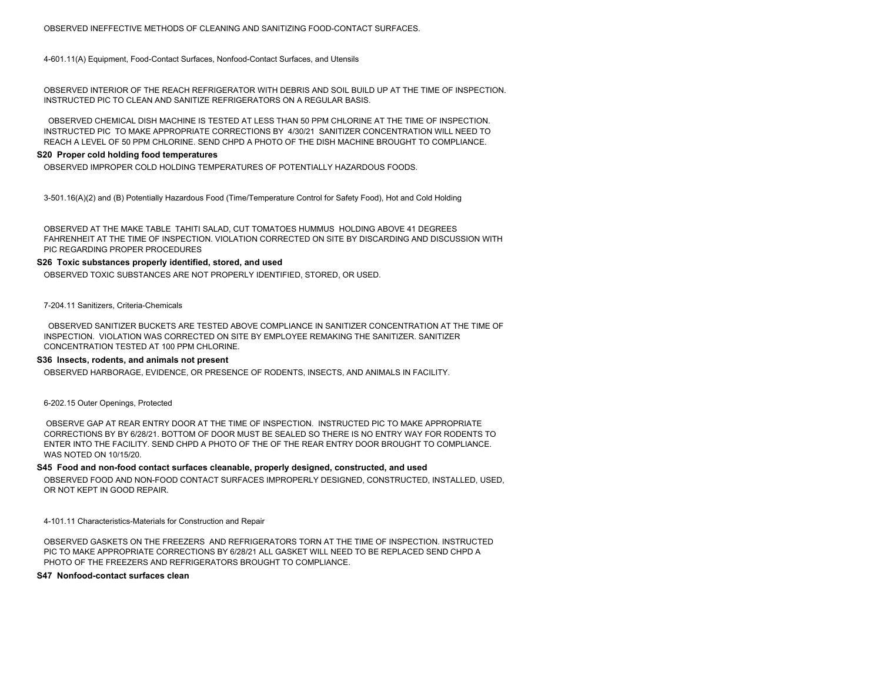4-601.11(A) Equipment, Food-Contact Surfaces, Nonfood-Contact Surfaces, and Utensils

OBSERVED INTERIOR OF THE REACH REFRIGERATOR WITH DEBRIS AND SOIL BUILD UP AT THE TIME OF INSPECTION. INSTRUCTED PIC TO CLEAN AND SANITIZE REFRIGERATORS ON A REGULAR BASIS.

 OBSERVED CHEMICAL DISH MACHINE IS TESTED AT LESS THAN 50 PPM CHLORINE AT THE TIME OF INSPECTION. INSTRUCTED PIC TO MAKE APPROPRIATE CORRECTIONS BY 4/30/21 SANITIZER CONCENTRATION WILL NEED TO REACH A LEVEL OF 50 PPM CHLORINE. SEND CHPD A PHOTO OF THE DISH MACHINE BROUGHT TO COMPLIANCE.

#### **S20 Proper cold holding food temperatures**

OBSERVED IMPROPER COLD HOLDING TEMPERATURES OF POTENTIALLY HAZARDOUS FOODS.

3-501.16(A)(2) and (B) Potentially Hazardous Food (Time/Temperature Control for Safety Food), Hot and Cold Holding

OBSERVED AT THE MAKE TABLE TAHITI SALAD, CUT TOMATOES HUMMUS HOLDING ABOVE 41 DEGREES FAHRENHEIT AT THE TIME OF INSPECTION. VIOLATION CORRECTED ON SITE BY DISCARDING AND DISCUSSION WITH PIC REGARDING PROPER PROCEDURES

#### **S26 Toxic substances properly identified, stored, and used**

OBSERVED TOXIC SUBSTANCES ARE NOT PROPERLY IDENTIFIED, STORED, OR USED.

7-204.11 Sanitizers, Criteria-Chemicals

 OBSERVED SANITIZER BUCKETS ARE TESTED ABOVE COMPLIANCE IN SANITIZER CONCENTRATION AT THE TIME OF INSPECTION. VIOLATION WAS CORRECTED ON SITE BY EMPLOYEE REMAKING THE SANITIZER. SANITIZER CONCENTRATION TESTED AT 100 PPM CHLORINE.

#### **S36 Insects, rodents, and animals not present**

OBSERVED HARBORAGE, EVIDENCE, OR PRESENCE OF RODENTS, INSECTS, AND ANIMALS IN FACILITY.

6-202.15 Outer Openings, Protected

 OBSERVE GAP AT REAR ENTRY DOOR AT THE TIME OF INSPECTION. INSTRUCTED PIC TO MAKE APPROPRIATE CORRECTIONS BY BY 6/28/21. BOTTOM OF DOOR MUST BE SEALED SO THERE IS NO ENTRY WAY FOR RODENTS TO ENTER INTO THE FACILITY. SEND CHPD A PHOTO OF THE OF THE REAR ENTRY DOOR BROUGHT TO COMPLIANCE. WAS NOTED ON 10/15/20.

#### **S45 Food and non-food contact surfaces cleanable, properly designed, constructed, and used**

OBSERVED FOOD AND NON-FOOD CONTACT SURFACES IMPROPERLY DESIGNED, CONSTRUCTED, INSTALLED, USED, OR NOT KEPT IN GOOD REPAIR.

4-101.11 Characteristics-Materials for Construction and Repair

OBSERVED GASKETS ON THE FREEZERS AND REFRIGERATORS TORN AT THE TIME OF INSPECTION. INSTRUCTED PIC TO MAKE APPROPRIATE CORRECTIONS BY 6/28/21 ALL GASKET WILL NEED TO BE REPLACED SEND CHPD A PHOTO OF THE FREEZERS AND REFRIGERATORS BROUGHT TO COMPLIANCE.

**S47 Nonfood-contact surfaces clean**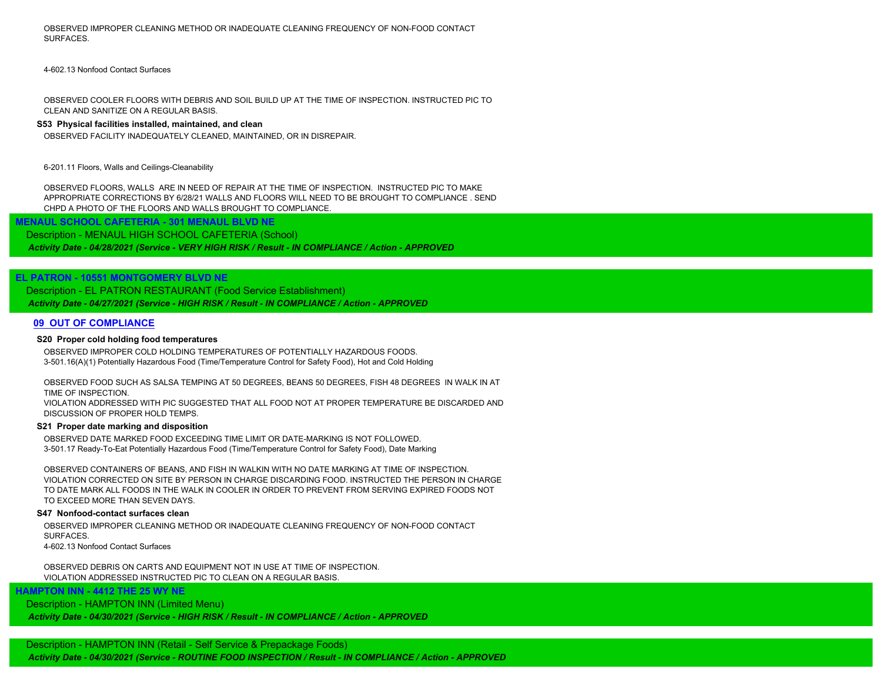OBSERVED IMPROPER CLEANING METHOD OR INADEQUATE CLEANING FREQUENCY OF NON-FOOD CONTACT SURFACES.

4-602.13 Nonfood Contact Surfaces

OBSERVED COOLER FLOORS WITH DEBRIS AND SOIL BUILD UP AT THE TIME OF INSPECTION. INSTRUCTED PIC TO CLEAN AND SANITIZE ON A REGULAR BASIS.

#### **S53 Physical facilities installed, maintained, and clean**

OBSERVED FACILITY INADEQUATELY CLEANED, MAINTAINED, OR IN DISREPAIR.

6-201.11 Floors, Walls and Ceilings-Cleanability

OBSERVED FLOORS, WALLS ARE IN NEED OF REPAIR AT THE TIME OF INSPECTION. INSTRUCTED PIC TO MAKE APPROPRIATE CORRECTIONS BY 6/28/21 WALLS AND FLOORS WILL NEED TO BE BROUGHT TO COMPLIANCE . SEND CHPD A PHOTO OF THE FLOORS AND WALLS BROUGHT TO COMPLIANCE.

# **MENAUL SCHOOL CAFETERIA - 301 MENAUL BLVD NE** Description - MENAUL HIGH SCHOOL CAFETERIA (School)

*Activity Date - 04/28/2021 (Service - VERY HIGH RISK / Result - IN COMPLIANCE / Action - APPROVED*

# **EL PATRON - 10551 MONTGOMERY BLVD NE**

*Activity Date - 04/27/2021 (Service - HIGH RISK / Result - IN COMPLIANCE / Action - APPROVED* Description - EL PATRON RESTAURANT (Food Service Establishment)

# **09 OUT OF COMPLIANCE**

### **S20 Proper cold holding food temperatures**

OBSERVED IMPROPER COLD HOLDING TEMPERATURES OF POTENTIALLY HAZARDOUS FOODS. 3-501.16(A)(1) Potentially Hazardous Food (Time/Temperature Control for Safety Food), Hot and Cold Holding

OBSERVED FOOD SUCH AS SALSA TEMPING AT 50 DEGREES, BEANS 50 DEGREES, FISH 48 DEGREES IN WALK IN AT TIME OF INSPECTION.

VIOLATION ADDRESSED WITH PIC SUGGESTED THAT ALL FOOD NOT AT PROPER TEMPERATURE BE DISCARDED AND DISCUSSION OF PROPER HOLD TEMPS.

#### **S21 Proper date marking and disposition**

OBSERVED DATE MARKED FOOD EXCEEDING TIME LIMIT OR DATE-MARKING IS NOT FOLLOWED. 3-501.17 Ready-To-Eat Potentially Hazardous Food (Time/Temperature Control for Safety Food), Date Marking

OBSERVED CONTAINERS OF BEANS, AND FISH IN WALKIN WITH NO DATE MARKING AT TIME OF INSPECTION. VIOLATION CORRECTED ON SITE BY PERSON IN CHARGE DISCARDING FOOD. INSTRUCTED THE PERSON IN CHARGE TO DATE MARK ALL FOODS IN THE WALK IN COOLER IN ORDER TO PREVENT FROM SERVING EXPIRED FOODS NOT TO EXCEED MORE THAN SEVEN DAYS.

#### **S47 Nonfood-contact surfaces clean**

OBSERVED IMPROPER CLEANING METHOD OR INADEQUATE CLEANING FREQUENCY OF NON-FOOD CONTACT SURFACES. 4-602.13 Nonfood Contact Surfaces

OBSERVED DEBRIS ON CARTS AND EQUIPMENT NOT IN USE AT TIME OF INSPECTION. VIOLATION ADDRESSED INSTRUCTED PIC TO CLEAN ON A REGULAR BASIS.

# **HAMPTON INN - 4412 THE 25 WY NE**

*Activity Date - 04/30/2021 (Service - HIGH RISK / Result - IN COMPLIANCE / Action - APPROVED* Description - HAMPTON INN (Limited Menu)

*Activity Date - 04/30/2021 (Service - ROUTINE FOOD INSPECTION / Result - IN COMPLIANCE / Action - APPROVED* Description - HAMPTON INN (Retail - Self Service & Prepackage Foods)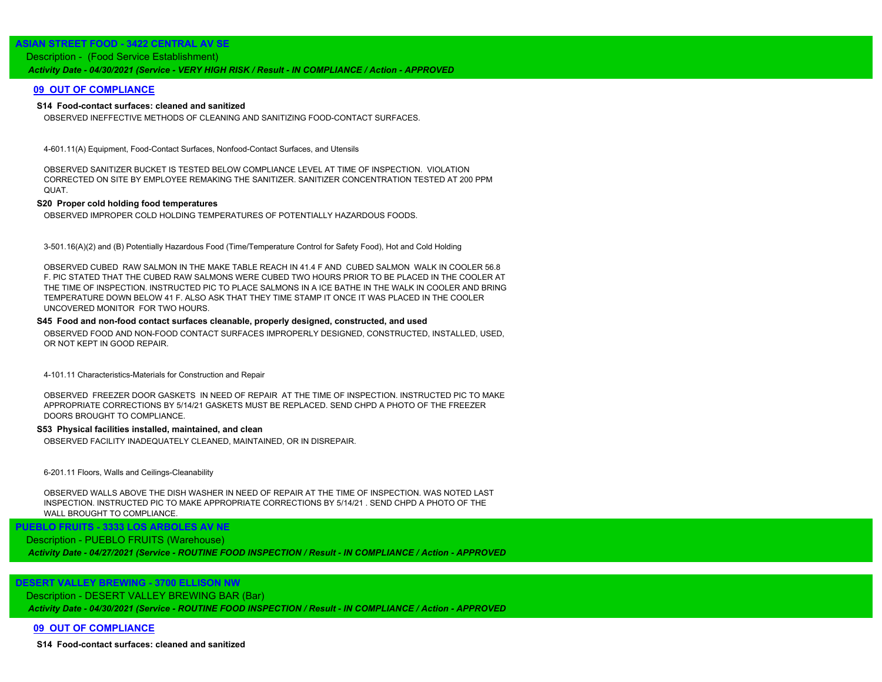# **ASIAN STREET FOOD - 3422 CENTRAL AV SE**

# *Activity Date - 04/30/2021 (Service - VERY HIGH RISK / Result - IN COMPLIANCE / Action - APPROVED* Description - (Food Service Establishment)

## **09 OUT OF COMPLIANCE**

### **S14 Food-contact surfaces: cleaned and sanitized**

OBSERVED INEFFECTIVE METHODS OF CLEANING AND SANITIZING FOOD-CONTACT SURFACES.

4-601.11(A) Equipment, Food-Contact Surfaces, Nonfood-Contact Surfaces, and Utensils

OBSERVED SANITIZER BUCKET IS TESTED BELOW COMPLIANCE LEVEL AT TIME OF INSPECTION. VIOLATION CORRECTED ON SITE BY EMPLOYEE REMAKING THE SANITIZER. SANITIZER CONCENTRATION TESTED AT 200 PPM QUAT.

#### **S20 Proper cold holding food temperatures**

OBSERVED IMPROPER COLD HOLDING TEMPERATURES OF POTENTIALLY HAZARDOUS FOODS.

3-501.16(A)(2) and (B) Potentially Hazardous Food (Time/Temperature Control for Safety Food), Hot and Cold Holding

OBSERVED CUBED RAW SALMON IN THE MAKE TABLE REACH IN 41.4 F AND CUBED SALMON WALK IN COOLER 56.8 F. PIC STATED THAT THE CUBED RAW SALMONS WERE CUBED TWO HOURS PRIOR TO BE PLACED IN THE COOLER AT THE TIME OF INSPECTION. INSTRUCTED PIC TO PLACE SALMONS IN A ICE BATHE IN THE WALK IN COOLER AND BRING TEMPERATURE DOWN BELOW 41 F. ALSO ASK THAT THEY TIME STAMP IT ONCE IT WAS PLACED IN THE COOLER UNCOVERED MONITOR FOR TWO HOURS.

#### **S45 Food and non-food contact surfaces cleanable, properly designed, constructed, and used**

OBSERVED FOOD AND NON-FOOD CONTACT SURFACES IMPROPERLY DESIGNED, CONSTRUCTED, INSTALLED, USED, OR NOT KEPT IN GOOD REPAIR.

4-101.11 Characteristics-Materials for Construction and Repair

OBSERVED FREEZER DOOR GASKETS IN NEED OF REPAIR AT THE TIME OF INSPECTION. INSTRUCTED PIC TO MAKE APPROPRIATE CORRECTIONS BY 5/14/21 GASKETS MUST BE REPLACED. SEND CHPD A PHOTO OF THE FREEZER DOORS BROUGHT TO COMPLIANCE.

#### **S53 Physical facilities installed, maintained, and clean**

OBSERVED FACILITY INADEQUATELY CLEANED, MAINTAINED, OR IN DISREPAIR.

6-201.11 Floors, Walls and Ceilings-Cleanability

OBSERVED WALLS ABOVE THE DISH WASHER IN NEED OF REPAIR AT THE TIME OF INSPECTION. WAS NOTED LAST INSPECTION. INSTRUCTED PIC TO MAKE APPROPRIATE CORRECTIONS BY 5/14/21 . SEND CHPD A PHOTO OF THE WALL BROUGHT TO COMPLIANCE.

 **PUEBLO FRUITS - 3333 LOS ARBOLES AV NE**

Description - PUEBLO FRUITS (Warehouse)

*Activity Date - 04/27/2021 (Service - ROUTINE FOOD INSPECTION / Result - IN COMPLIANCE / Action - APPROVED*

# **DESERT VALLEY BREWING - 3700 ELLISON NW**

Description - DESERT VALLEY BREWING BAR (Bar)

*Activity Date - 04/30/2021 (Service - ROUTINE FOOD INSPECTION / Result - IN COMPLIANCE / Action - APPROVED*

#### **09 OUT OF COMPLIANCE**

**S14 Food-contact surfaces: cleaned and sanitized**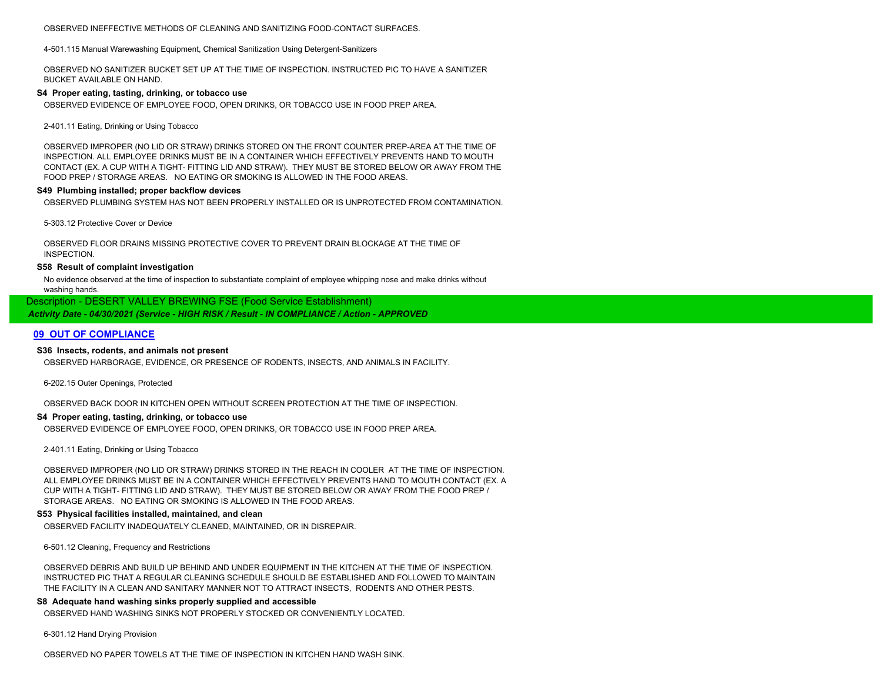OBSERVED INEFFECTIVE METHODS OF CLEANING AND SANITIZING FOOD-CONTACT SURFACES.

4-501.115 Manual Warewashing Equipment, Chemical Sanitization Using Detergent-Sanitizers

OBSERVED NO SANITIZER BUCKET SET UP AT THE TIME OF INSPECTION. INSTRUCTED PIC TO HAVE A SANITIZER BUCKET AVAILABLE ON HAND.

#### **S4 Proper eating, tasting, drinking, or tobacco use**

OBSERVED EVIDENCE OF EMPLOYEE FOOD, OPEN DRINKS, OR TOBACCO USE IN FOOD PREP AREA.

2-401.11 Eating, Drinking or Using Tobacco

OBSERVED IMPROPER (NO LID OR STRAW) DRINKS STORED ON THE FRONT COUNTER PREP-AREA AT THE TIME OF INSPECTION. ALL EMPLOYEE DRINKS MUST BE IN A CONTAINER WHICH EFFECTIVELY PREVENTS HAND TO MOUTH CONTACT (EX. A CUP WITH A TIGHT- FITTING LID AND STRAW). THEY MUST BE STORED BELOW OR AWAY FROM THE FOOD PREP / STORAGE AREAS. NO EATING OR SMOKING IS ALLOWED IN THE FOOD AREAS.

#### **S49 Plumbing installed; proper backflow devices**

OBSERVED PLUMBING SYSTEM HAS NOT BEEN PROPERLY INSTALLED OR IS UNPROTECTED FROM CONTAMINATION.

5-303.12 Protective Cover or Device

OBSERVED FLOOR DRAINS MISSING PROTECTIVE COVER TO PREVENT DRAIN BLOCKAGE AT THE TIME OF INSPECTION.

#### **S58 Result of complaint investigation**

No evidence observed at the time of inspection to substantiate complaint of employee whipping nose and make drinks without washing hands.

Description - DESERT VALLEY BREWING FSE (Food Service Establishment)

*Activity Date - 04/30/2021 (Service - HIGH RISK / Result - IN COMPLIANCE / Action - APPROVED*

## **09 OUT OF COMPLIANCE**

#### **S36 Insects, rodents, and animals not present**

OBSERVED HARBORAGE, EVIDENCE, OR PRESENCE OF RODENTS, INSECTS, AND ANIMALS IN FACILITY.

6-202.15 Outer Openings, Protected

OBSERVED BACK DOOR IN KITCHEN OPEN WITHOUT SCREEN PROTECTION AT THE TIME OF INSPECTION.

#### **S4 Proper eating, tasting, drinking, or tobacco use**

OBSERVED EVIDENCE OF EMPLOYEE FOOD, OPEN DRINKS, OR TOBACCO USE IN FOOD PREP AREA.

2-401.11 Eating, Drinking or Using Tobacco

OBSERVED IMPROPER (NO LID OR STRAW) DRINKS STORED IN THE REACH IN COOLER AT THE TIME OF INSPECTION. ALL EMPLOYEE DRINKS MUST BE IN A CONTAINER WHICH EFFECTIVELY PREVENTS HAND TO MOUTH CONTACT (EX. A CUP WITH A TIGHT- FITTING LID AND STRAW). THEY MUST BE STORED BELOW OR AWAY FROM THE FOOD PREP / STORAGE AREAS. NO EATING OR SMOKING IS ALLOWED IN THE FOOD AREAS.

#### **S53 Physical facilities installed, maintained, and clean**

OBSERVED FACILITY INADEQUATELY CLEANED, MAINTAINED, OR IN DISREPAIR.

6-501.12 Cleaning, Frequency and Restrictions

OBSERVED DEBRIS AND BUILD UP BEHIND AND UNDER EQUIPMENT IN THE KITCHEN AT THE TIME OF INSPECTION. INSTRUCTED PIC THAT A REGULAR CLEANING SCHEDULE SHOULD BE ESTABLISHED AND FOLLOWED TO MAINTAIN THE FACILITY IN A CLEAN AND SANITARY MANNER NOT TO ATTRACT INSECTS, RODENTS AND OTHER PESTS.

#### **S8 Adequate hand washing sinks properly supplied and accessible**

OBSERVED HAND WASHING SINKS NOT PROPERLY STOCKED OR CONVENIENTLY LOCATED.

6-301.12 Hand Drying Provision

OBSERVED NO PAPER TOWELS AT THE TIME OF INSPECTION IN KITCHEN HAND WASH SINK.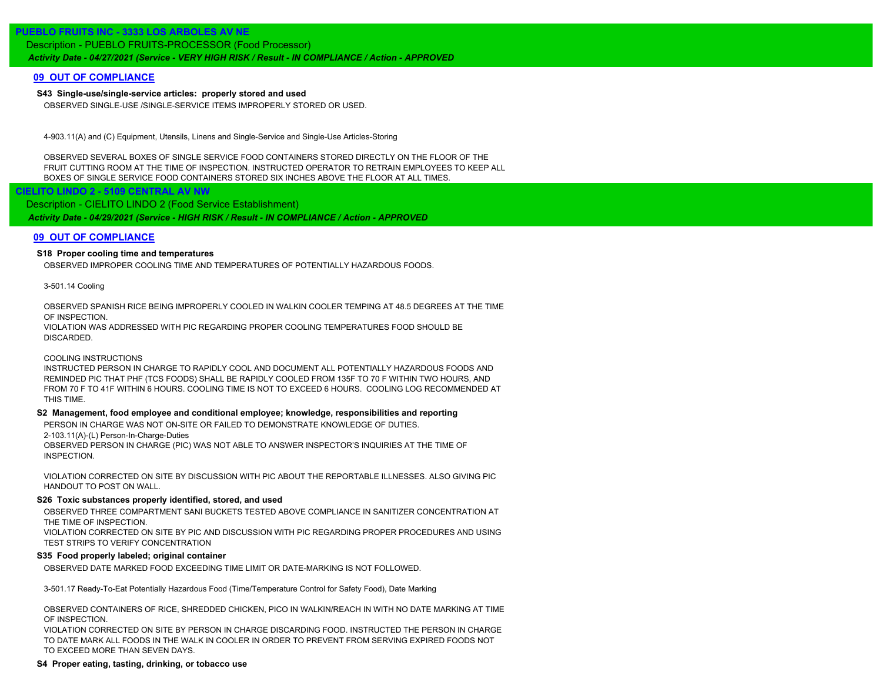# **PUEBLO FRUITS INC - 3333 LOS ARBOLES AV NE**

Description - PUEBLO FRUITS-PROCESSOR (Food Processor)

*Activity Date - 04/27/2021 (Service - VERY HIGH RISK / Result - IN COMPLIANCE / Action - APPROVED*

# **09 OUT OF COMPLIANCE**

# **S43 Single-use/single-service articles: properly stored and used**

OBSERVED SINGLE-USE /SINGLE-SERVICE ITEMS IMPROPERLY STORED OR USED.

4-903.11(A) and (C) Equipment, Utensils, Linens and Single-Service and Single-Use Articles-Storing

OBSERVED SEVERAL BOXES OF SINGLE SERVICE FOOD CONTAINERS STORED DIRECTLY ON THE FLOOR OF THE FRUIT CUTTING ROOM AT THE TIME OF INSPECTION. INSTRUCTED OPERATOR TO RETRAIN EMPLOYEES TO KEEP ALL BOXES OF SINGLE SERVICE FOOD CONTAINERS STORED SIX INCHES ABOVE THE FLOOR AT ALL TIMES.

 **CIELITO LINDO 2 - 5109 CENTRAL AV NW**

*Activity Date - 04/29/2021 (Service - HIGH RISK / Result - IN COMPLIANCE / Action - APPROVED* Description - CIELITO LINDO 2 (Food Service Establishment)

# **09 OUT OF COMPLIANCE**

# **S18 Proper cooling time and temperatures**

OBSERVED IMPROPER COOLING TIME AND TEMPERATURES OF POTENTIALLY HAZARDOUS FOODS.

3-501.14 Cooling

OBSERVED SPANISH RICE BEING IMPROPERLY COOLED IN WALKIN COOLER TEMPING AT 48.5 DEGREES AT THE TIME OF INSPECTION.

VIOLATION WAS ADDRESSED WITH PIC REGARDING PROPER COOLING TEMPERATURES FOOD SHOULD BE DISCARDED.

COOLING INSTRUCTIONS

INSTRUCTED PERSON IN CHARGE TO RAPIDLY COOL AND DOCUMENT ALL POTENTIALLY HAZARDOUS FOODS AND REMINDED PIC THAT PHF (TCS FOODS) SHALL BE RAPIDLY COOLED FROM 135F TO 70 F WITHIN TWO HOURS, AND FROM 70 F TO 41F WITHIN 6 HOURS. COOLING TIME IS NOT TO EXCEED 6 HOURS. COOLING LOG RECOMMENDED AT THIS TIME.

#### **S2 Management, food employee and conditional employee; knowledge, responsibilities and reporting**

PERSON IN CHARGE WAS NOT ON-SITE OR FAILED TO DEMONSTRATE KNOWLEDGE OF DUTIES.

2-103.11(A)-(L) Person-In-Charge-Duties

OBSERVED PERSON IN CHARGE (PIC) WAS NOT ABLE TO ANSWER INSPECTOR'S INQUIRIES AT THE TIME OF INSPECTION.

VIOLATION CORRECTED ON SITE BY DISCUSSION WITH PIC ABOUT THE REPORTABLE ILLNESSES. ALSO GIVING PIC HANDOUT TO POST ON WALL.

## **S26 Toxic substances properly identified, stored, and used**

OBSERVED THREE COMPARTMENT SANI BUCKETS TESTED ABOVE COMPLIANCE IN SANITIZER CONCENTRATION AT THE TIME OF INSPECTION.

VIOLATION CORRECTED ON SITE BY PIC AND DISCUSSION WITH PIC REGARDING PROPER PROCEDURES AND USING TEST STRIPS TO VERIFY CONCENTRATION

# **S35 Food properly labeled; original container**

OBSERVED DATE MARKED FOOD EXCEEDING TIME LIMIT OR DATE-MARKING IS NOT FOLLOWED.

3-501.17 Ready-To-Eat Potentially Hazardous Food (Time/Temperature Control for Safety Food), Date Marking

OBSERVED CONTAINERS OF RICE, SHREDDED CHICKEN, PICO IN WALKIN/REACH IN WITH NO DATE MARKING AT TIME OF INSPECTION.

VIOLATION CORRECTED ON SITE BY PERSON IN CHARGE DISCARDING FOOD. INSTRUCTED THE PERSON IN CHARGE TO DATE MARK ALL FOODS IN THE WALK IN COOLER IN ORDER TO PREVENT FROM SERVING EXPIRED FOODS NOT TO EXCEED MORE THAN SEVEN DAYS.

# **S4 Proper eating, tasting, drinking, or tobacco use**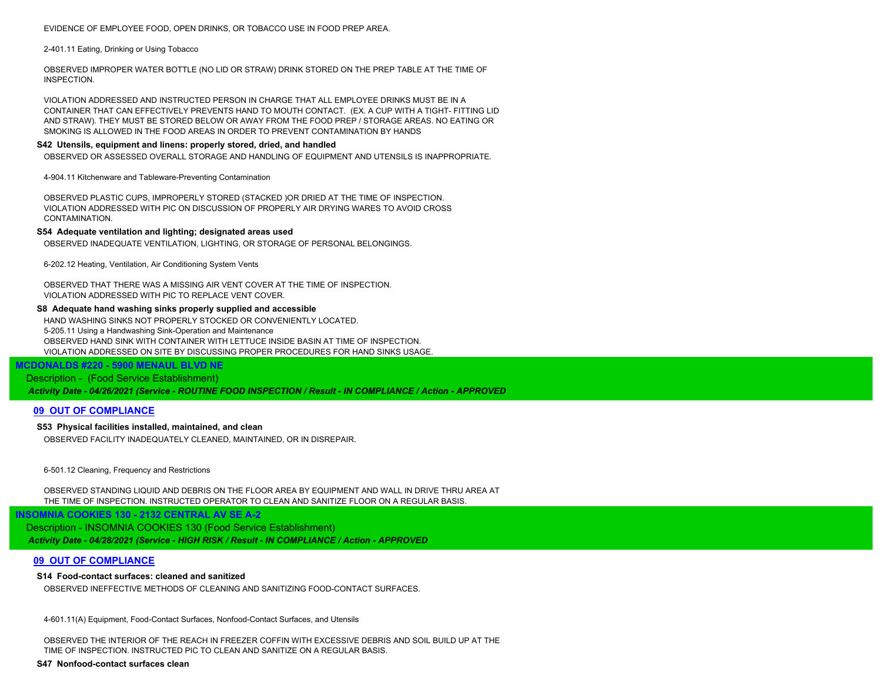#### EVIDENCE OF EMPLOYEE FOOD, OPEN DRINKS, OR TOBACCO USE IN FOOD PREP AREA.

#### 2-401.11 Eating, Drinking or Using Tobacco

OBSERVED IMPROPER WATER BOTTLE (NO LID OR STRAW) DRINK STORED ON THE PREP TABLE AT THE TIME OF INSPECTION.

VIOLATION ADDRESSED AND INSTRUCTED PERSON IN CHARGE THAT ALL EMPLOYEE DRINKS MUST BE IN A CONTAINER THAT CAN EFFECTIVELY PREVENTS HAND TO MOUTH CONTACT. (EX. A CUP WITH A TIGHT- FITTING LID AND STRAW). THEY MUST BE STORED BELOW OR AWAY FROM THE FOOD PREP / STORAGE AREAS. NO EATING OR SMOKING IS ALLOWED IN THE FOOD AREAS IN ORDER TO PREVENT CONTAMINATION BY HANDS

#### **S42 Utensils, equipment and linens: properly stored, dried, and handled**

OBSERVED OR ASSESSED OVERALL STORAGE AND HANDLING OF EQUIPMENT AND UTENSILS IS INAPPROPRIATE.

4-904.11 Kitchenware and Tableware-Preventing Contamination

OBSERVED PLASTIC CUPS, IMPROPERLY STORED (STACKED )OR DRIED AT THE TIME OF INSPECTION. VIOLATION ADDRESSED WITH PIC ON DISCUSSION OF PROPERLY AIR DRYING WARES TO AVOID CROSS CONTAMINATION.

#### **S54 Adequate ventilation and lighting; designated areas used**

OBSERVED INADEQUATE VENTILATION, LIGHTING, OR STORAGE OF PERSONAL BELONGINGS.

6-202.12 Heating, Ventilation, Air Conditioning System Vents

OBSERVED THAT THERE WAS A MISSING AIR VENT COVER AT THE TIME OF INSPECTION. VIOLATION ADDRESSED WITH PIC TO REPLACE VENT COVER.

### **S8 Adequate hand washing sinks properly supplied and accessible**

HAND WASHING SINKS NOT PROPERLY STOCKED OR CONVENIENTLY LOCATED. 5-205.11 Using a Handwashing Sink-Operation and Maintenance OBSERVED HAND SINK WITH CONTAINER WITH LETTUCE INSIDE BASIN AT TIME OF INSPECTION. VIOLATION ADDRESSED ON SITE BY DISCUSSING PROPER PROCEDURES FOR HAND SINKS USAGE.

# **MCDONALDS #220 - 5900 MENAUL BLVD NE** Description - (Food Service Establishment)

*Activity Date - 04/26/2021 (Service - ROUTINE FOOD INSPECTION / Result - IN COMPLIANCE / Action - APPROVED*

#### **09 OUT OF COMPLIANCE**

# **S53 Physical facilities installed, maintained, and clean**

OBSERVED FACILITY INADEQUATELY CLEANED, MAINTAINED, OR IN DISREPAIR.

6-501.12 Cleaning, Frequency and Restrictions

OBSERVED STANDING LIQUID AND DEBRIS ON THE FLOOR AREA BY EQUIPMENT AND WALL IN DRIVE THRU AREA AT THE TIME OF INSPECTION. INSTRUCTED OPERATOR TO CLEAN AND SANITIZE FLOOR ON A REGULAR BASIS.

*Activity Date - 04/28/2021 (Service - HIGH RISK / Result - IN COMPLIANCE / Action - APPROVED* Description - INSOMNIA COOKIES 130 (Food Service Establishment)

# **09 OUT OF COMPLIANCE**

#### **S14 Food-contact surfaces: cleaned and sanitized**

 **INSOMNIA COOKIES 130 - 2132 CENTRAL AV SE A-2**

OBSERVED INEFFECTIVE METHODS OF CLEANING AND SANITIZING FOOD-CONTACT SURFACES.

4-601.11(A) Equipment, Food-Contact Surfaces, Nonfood-Contact Surfaces, and Utensils

OBSERVED THE INTERIOR OF THE REACH IN FREEZER COFFIN WITH EXCESSIVE DEBRIS AND SOIL BUILD UP AT THE TIME OF INSPECTION. INSTRUCTED PIC TO CLEAN AND SANITIZE ON A REGULAR BASIS.

**S47 Nonfood-contact surfaces clean**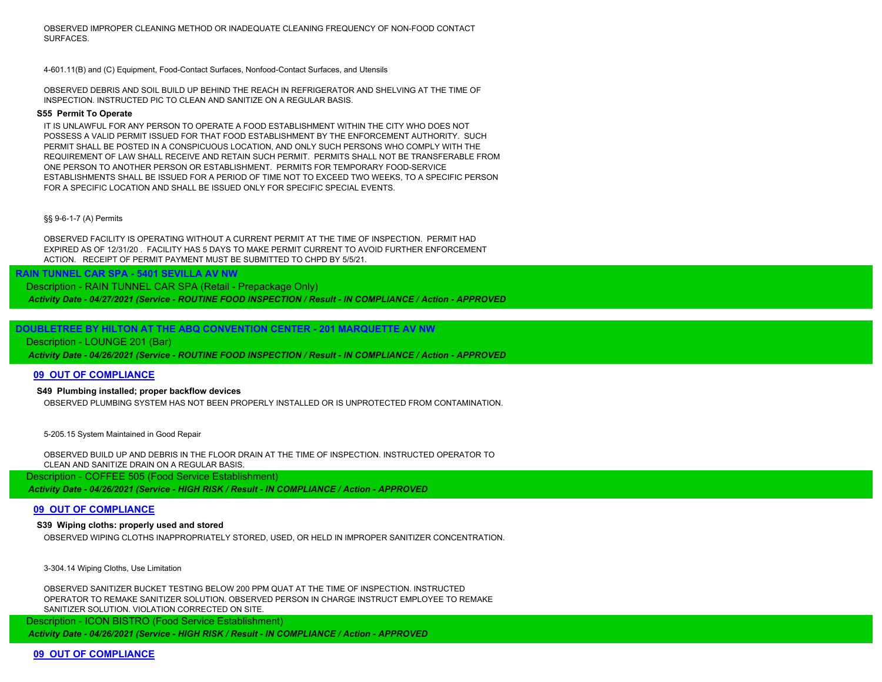OBSERVED IMPROPER CLEANING METHOD OR INADEQUATE CLEANING FREQUENCY OF NON-FOOD CONTACT SURFACES.

4-601.11(B) and (C) Equipment, Food-Contact Surfaces, Nonfood-Contact Surfaces, and Utensils

OBSERVED DEBRIS AND SOIL BUILD UP BEHIND THE REACH IN REFRIGERATOR AND SHELVING AT THE TIME OF INSPECTION. INSTRUCTED PIC TO CLEAN AND SANITIZE ON A REGULAR BASIS.

#### **S55 Permit To Operate**

IT IS UNLAWFUL FOR ANY PERSON TO OPERATE A FOOD ESTABLISHMENT WITHIN THE CITY WHO DOES NOT POSSESS A VALID PERMIT ISSUED FOR THAT FOOD ESTABLISHMENT BY THE ENFORCEMENT AUTHORITY. SUCH PERMIT SHALL BE POSTED IN A CONSPICUOUS LOCATION, AND ONLY SUCH PERSONS WHO COMPLY WITH THE REQUIREMENT OF LAW SHALL RECEIVE AND RETAIN SUCH PERMIT. PERMITS SHALL NOT BE TRANSFERABLE FROM ONE PERSON TO ANOTHER PERSON OR ESTABLISHMENT. PERMITS FOR TEMPORARY FOOD-SERVICE ESTABLISHMENTS SHALL BE ISSUED FOR A PERIOD OF TIME NOT TO EXCEED TWO WEEKS, TO A SPECIFIC PERSON FOR A SPECIFIC LOCATION AND SHALL BE ISSUED ONLY FOR SPECIFIC SPECIAL EVENTS.

### §§ 9-6-1-7 (A) Permits

OBSERVED FACILITY IS OPERATING WITHOUT A CURRENT PERMIT AT THE TIME OF INSPECTION. PERMIT HAD EXPIRED AS OF 12/31/20 . FACILITY HAS 5 DAYS TO MAKE PERMIT CURRENT TO AVOID FURTHER ENFORCEMENT ACTION. RECEIPT OF PERMIT PAYMENT MUST BE SUBMITTED TO CHPD BY 5/5/21.

Description - RAIN TUNNEL CAR SPA (Retail - Prepackage Only)

*Activity Date - 04/27/2021 (Service - ROUTINE FOOD INSPECTION / Result - IN COMPLIANCE / Action - APPROVED*

 **DOUBLETREE BY HILTON AT THE ABQ CONVENTION CENTER - 201 MARQUETTE AV NW**

### Description - LOUNGE 201 (Bar)

*Activity Date - 04/26/2021 (Service - ROUTINE FOOD INSPECTION / Result - IN COMPLIANCE / Action - APPROVED*

#### **09 OUT OF COMPLIANCE**

### **S49 Plumbing installed; proper backflow devices**

 **RAIN TUNNEL CAR SPA - 5401 SEVILLA AV NW**

OBSERVED PLUMBING SYSTEM HAS NOT BEEN PROPERLY INSTALLED OR IS UNPROTECTED FROM CONTAMINATION.

5-205.15 System Maintained in Good Repair

OBSERVED BUILD UP AND DEBRIS IN THE FLOOR DRAIN AT THE TIME OF INSPECTION. INSTRUCTED OPERATOR TO CLEAN AND SANITIZE DRAIN ON A REGULAR BASIS.

Description - COFFEE 505 (Food Service Establishment)

*Activity Date - 04/26/2021 (Service - HIGH RISK / Result - IN COMPLIANCE / Action - APPROVED*

#### **09 OUT OF COMPLIANCE**

# **S39 Wiping cloths: properly used and stored**

OBSERVED WIPING CLOTHS INAPPROPRIATELY STORED, USED, OR HELD IN IMPROPER SANITIZER CONCENTRATION.

3-304.14 Wiping Cloths, Use Limitation

OBSERVED SANITIZER BUCKET TESTING BELOW 200 PPM QUAT AT THE TIME OF INSPECTION. INSTRUCTED OPERATOR TO REMAKE SANITIZER SOLUTION. OBSERVED PERSON IN CHARGE INSTRUCT EMPLOYEE TO REMAKE SANITIZER SOLUTION. VIOLATION CORRECTED ON SITE.

*Activity Date - 04/26/2021 (Service - HIGH RISK / Result - IN COMPLIANCE / Action - APPROVED* Description - ICON BISTRO (Food Service Establishment)

**09 OUT OF COMPLIANCE**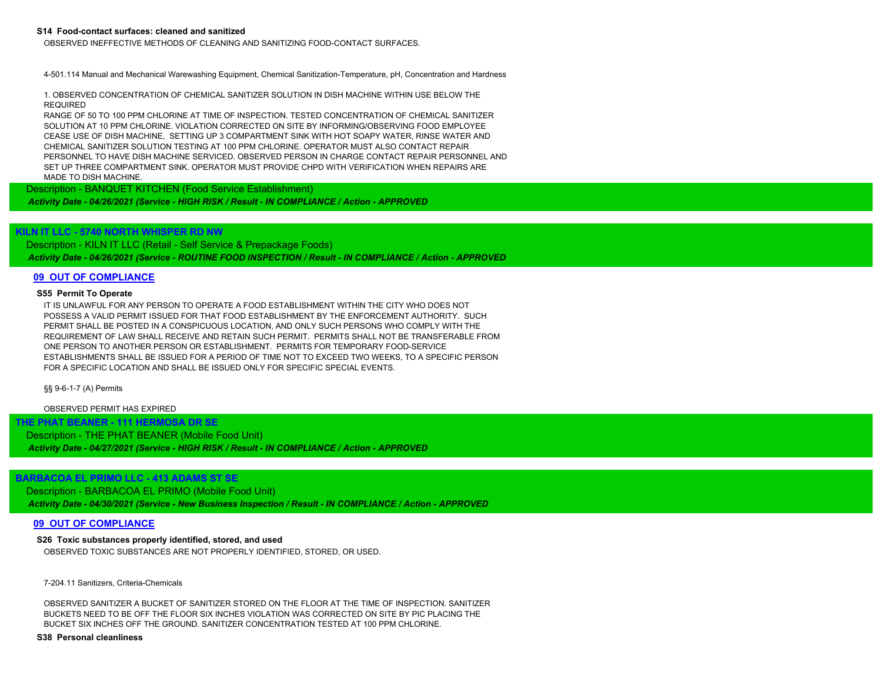#### **S14 Food-contact surfaces: cleaned and sanitized**

OBSERVED INEFFECTIVE METHODS OF CLEANING AND SANITIZING FOOD-CONTACT SURFACES.

4-501.114 Manual and Mechanical Warewashing Equipment, Chemical Sanitization-Temperature, pH, Concentration and Hardness

1. OBSERVED CONCENTRATION OF CHEMICAL SANITIZER SOLUTION IN DISH MACHINE WITHIN USE BELOW THE REQUIRED

RANGE OF 50 TO 100 PPM CHLORINE AT TIME OF INSPECTION. TESTED CONCENTRATION OF CHEMICAL SANITIZER SOLUTION AT 10 PPM CHLORINE. VIOLATION CORRECTED ON SITE BY INFORMING/OBSERVING FOOD EMPLOYEE CEASE USE OF DISH MACHINE, SETTING UP 3 COMPARTMENT SINK WITH HOT SOAPY WATER, RINSE WATER AND CHEMICAL SANITIZER SOLUTION TESTING AT 100 PPM CHLORINE. OPERATOR MUST ALSO CONTACT REPAIR PERSONNEL TO HAVE DISH MACHINE SERVICED. OBSERVED PERSON IN CHARGE CONTACT REPAIR PERSONNEL AND SET UP THREE COMPARTMENT SINK. OPERATOR MUST PROVIDE CHPD WITH VERIFICATION WHEN REPAIRS ARE MADE TO DISH MACHINE.

Description - BANQUET KITCHEN (Food Service Establishment)

*Activity Date - 04/26/2021 (Service - HIGH RISK / Result - IN COMPLIANCE / Action - APPROVED*

# **KILN IT LLC - 5740 NORTH WHISPER RD NW**

*Activity Date - 04/26/2021 (Service - ROUTINE FOOD INSPECTION / Result - IN COMPLIANCE / Action - APPROVED* Description - KILN IT LLC (Retail - Self Service & Prepackage Foods)

#### **09 OUT OF COMPLIANCE**

#### **S55 Permit To Operate**

IT IS UNLAWFUL FOR ANY PERSON TO OPERATE A FOOD ESTABLISHMENT WITHIN THE CITY WHO DOES NOT POSSESS A VALID PERMIT ISSUED FOR THAT FOOD ESTABLISHMENT BY THE ENFORCEMENT AUTHORITY. SUCH PERMIT SHALL BE POSTED IN A CONSPICUOUS LOCATION, AND ONLY SUCH PERSONS WHO COMPLY WITH THE REQUIREMENT OF LAW SHALL RECEIVE AND RETAIN SUCH PERMIT. PERMITS SHALL NOT BE TRANSFERABLE FROM ONE PERSON TO ANOTHER PERSON OR ESTABLISHMENT. PERMITS FOR TEMPORARY FOOD-SERVICE ESTABLISHMENTS SHALL BE ISSUED FOR A PERIOD OF TIME NOT TO EXCEED TWO WEEKS, TO A SPECIFIC PERSON FOR A SPECIFIC LOCATION AND SHALL BE ISSUED ONLY FOR SPECIFIC SPECIAL EVENTS.

§§ 9-6-1-7 (A) Permits

OBSERVED PERMIT HAS EXPIRED

 **THE PHAT BEANER - 111 HERMOSA DR SE** *Activity Date - 04/27/2021 (Service - HIGH RISK / Result - IN COMPLIANCE / Action - APPROVED* Description - THE PHAT BEANER (Mobile Food Unit)

# **BARBACOA EL PRIMO LLC - 413 ADAMS ST SE**

*Activity Date - 04/30/2021 (Service - New Business Inspection / Result - IN COMPLIANCE / Action - APPROVED* Description - BARBACOA EL PRIMO (Mobile Food Unit)

#### **09 OUT OF COMPLIANCE**

# **S26 Toxic substances properly identified, stored, and used**

OBSERVED TOXIC SUBSTANCES ARE NOT PROPERLY IDENTIFIED, STORED, OR USED.

7-204.11 Sanitizers, Criteria-Chemicals

OBSERVED SANITIZER A BUCKET OF SANITIZER STORED ON THE FLOOR AT THE TIME OF INSPECTION. SANITIZER BUCKETS NEED TO BE OFF THE FLOOR SIX INCHES VIOLATION WAS CORRECTED ON SITE BY PIC PLACING THE BUCKET SIX INCHES OFF THE GROUND. SANITIZER CONCENTRATION TESTED AT 100 PPM CHLORINE.

#### **S38 Personal cleanliness**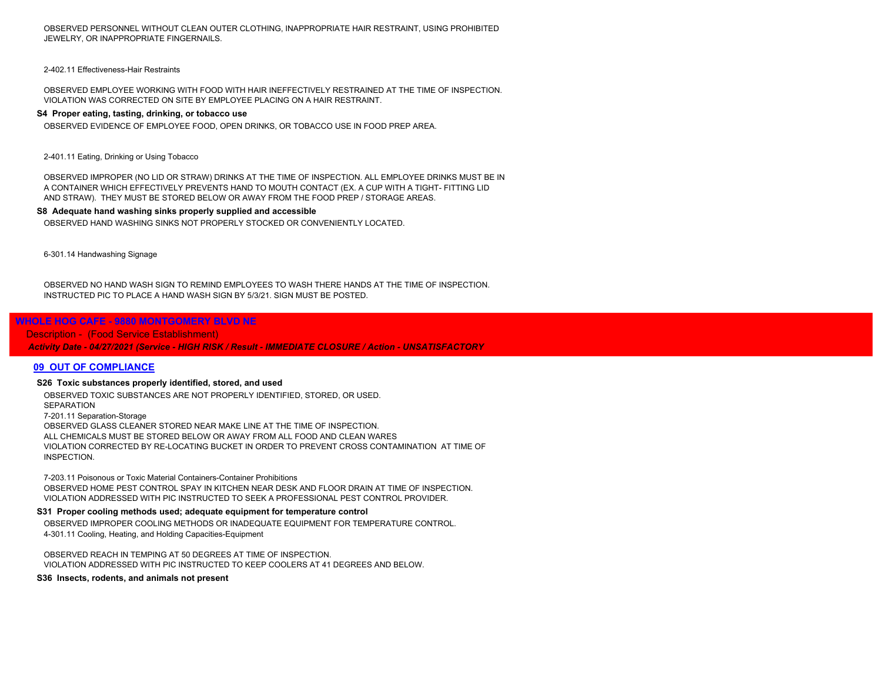OBSERVED PERSONNEL WITHOUT CLEAN OUTER CLOTHING, INAPPROPRIATE HAIR RESTRAINT, USING PROHIBITED JEWELRY, OR INAPPROPRIATE FINGERNAILS.

2-402.11 Effectiveness-Hair Restraints

OBSERVED EMPLOYEE WORKING WITH FOOD WITH HAIR INEFFECTIVELY RESTRAINED AT THE TIME OF INSPECTION. VIOLATION WAS CORRECTED ON SITE BY EMPLOYEE PLACING ON A HAIR RESTRAINT.

## **S4 Proper eating, tasting, drinking, or tobacco use**

OBSERVED EVIDENCE OF EMPLOYEE FOOD, OPEN DRINKS, OR TOBACCO USE IN FOOD PREP AREA.

2-401.11 Eating, Drinking or Using Tobacco

OBSERVED IMPROPER (NO LID OR STRAW) DRINKS AT THE TIME OF INSPECTION. ALL EMPLOYEE DRINKS MUST BE IN A CONTAINER WHICH EFFECTIVELY PREVENTS HAND TO MOUTH CONTACT (EX. A CUP WITH A TIGHT- FITTING LID AND STRAW). THEY MUST BE STORED BELOW OR AWAY FROM THE FOOD PREP / STORAGE AREAS.

#### **S8 Adequate hand washing sinks properly supplied and accessible**

OBSERVED HAND WASHING SINKS NOT PROPERLY STOCKED OR CONVENIENTLY LOCATED.

6-301.14 Handwashing Signage

OBSERVED NO HAND WASH SIGN TO REMIND EMPLOYEES TO WASH THERE HANDS AT THE TIME OF INSPECTION. INSTRUCTED PIC TO PLACE A HAND WASH SIGN BY 5/3/21. SIGN MUST BE POSTED.

# **WHOLE HOG CAFE - 9880 MONTGOMERY BLVD NE**

Description - (Food Service Establishment)

*Activity Date - 04/27/2021 (Service - HIGH RISK / Result - IMMEDIATE CLOSURE / Action - UNSATISFACTORY*

# **09 OUT OF COMPLIANCE**

### **S26 Toxic substances properly identified, stored, and used**

OBSERVED TOXIC SUBSTANCES ARE NOT PROPERLY IDENTIFIED, STORED, OR USED. **SEPARATION** 7-201.11 Separation-Storage OBSERVED GLASS CLEANER STORED NEAR MAKE LINE AT THE TIME OF INSPECTION. ALL CHEMICALS MUST BE STORED BELOW OR AWAY FROM ALL FOOD AND CLEAN WARES VIOLATION CORRECTED BY RE-LOCATING BUCKET IN ORDER TO PREVENT CROSS CONTAMINATION AT TIME OF INSPECTION.

7-203.11 Poisonous or Toxic Material Containers-Container Prohibitions OBSERVED HOME PEST CONTROL SPAY IN KITCHEN NEAR DESK AND FLOOR DRAIN AT TIME OF INSPECTION. VIOLATION ADDRESSED WITH PIC INSTRUCTED TO SEEK A PROFESSIONAL PEST CONTROL PROVIDER.

#### **S31 Proper cooling methods used; adequate equipment for temperature control**

OBSERVED IMPROPER COOLING METHODS OR INADEQUATE EQUIPMENT FOR TEMPERATURE CONTROL. 4-301.11 Cooling, Heating, and Holding Capacities-Equipment

OBSERVED REACH IN TEMPING AT 50 DEGREES AT TIME OF INSPECTION. VIOLATION ADDRESSED WITH PIC INSTRUCTED TO KEEP COOLERS AT 41 DEGREES AND BELOW.

**S36 Insects, rodents, and animals not present**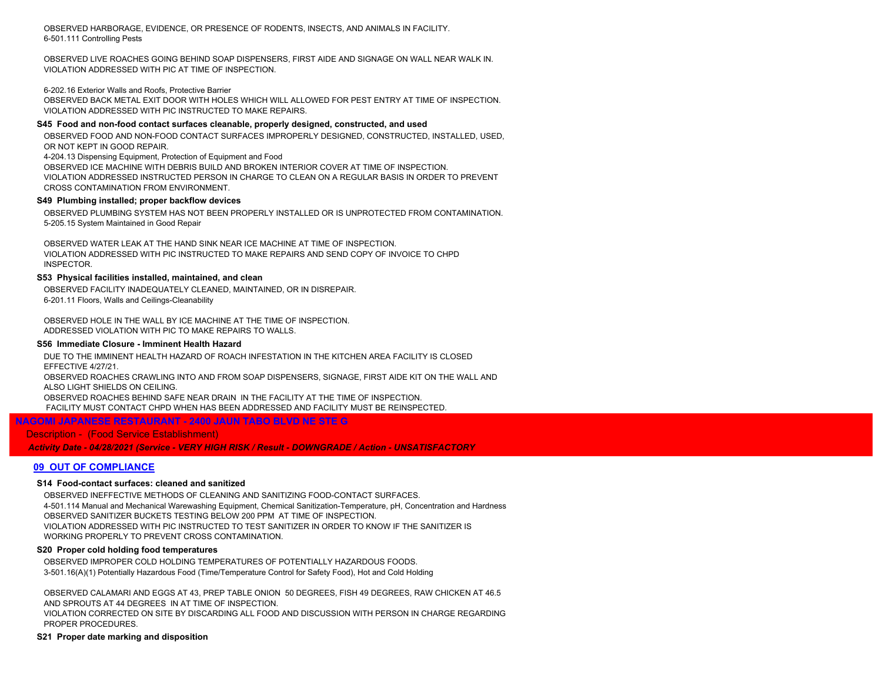OBSERVED HARBORAGE, EVIDENCE, OR PRESENCE OF RODENTS, INSECTS, AND ANIMALS IN FACILITY. 6-501.111 Controlling Pests

OBSERVED LIVE ROACHES GOING BEHIND SOAP DISPENSERS, FIRST AIDE AND SIGNAGE ON WALL NEAR WALK IN. VIOLATION ADDRESSED WITH PIC AT TIME OF INSPECTION.

#### 6-202.16 Exterior Walls and Roofs, Protective Barrier

OBSERVED BACK METAL EXIT DOOR WITH HOLES WHICH WILL ALLOWED FOR PEST ENTRY AT TIME OF INSPECTION. VIOLATION ADDRESSED WITH PIC INSTRUCTED TO MAKE REPAIRS.

#### **S45 Food and non-food contact surfaces cleanable, properly designed, constructed, and used**

OBSERVED FOOD AND NON-FOOD CONTACT SURFACES IMPROPERLY DESIGNED, CONSTRUCTED, INSTALLED, USED, OR NOT KEPT IN GOOD REPAIR.

4-204.13 Dispensing Equipment, Protection of Equipment and Food

OBSERVED ICE MACHINE WITH DEBRIS BUILD AND BROKEN INTERIOR COVER AT TIME OF INSPECTION.

VIOLATION ADDRESSED INSTRUCTED PERSON IN CHARGE TO CLEAN ON A REGULAR BASIS IN ORDER TO PREVENT CROSS CONTAMINATION FROM ENVIRONMENT.

## **S49 Plumbing installed; proper backflow devices**

OBSERVED PLUMBING SYSTEM HAS NOT BEEN PROPERLY INSTALLED OR IS UNPROTECTED FROM CONTAMINATION. 5-205.15 System Maintained in Good Repair

OBSERVED WATER LEAK AT THE HAND SINK NEAR ICE MACHINE AT TIME OF INSPECTION. VIOLATION ADDRESSED WITH PIC INSTRUCTED TO MAKE REPAIRS AND SEND COPY OF INVOICE TO CHPD **INSPECTOR** 

### **S53 Physical facilities installed, maintained, and clean**

OBSERVED FACILITY INADEQUATELY CLEANED, MAINTAINED, OR IN DISREPAIR. 6-201.11 Floors, Walls and Ceilings-Cleanability

OBSERVED HOLE IN THE WALL BY ICE MACHINE AT THE TIME OF INSPECTION. ADDRESSED VIOLATION WITH PIC TO MAKE REPAIRS TO WALLS.

#### **S56 Immediate Closure - Imminent Health Hazard**

DUE TO THE IMMINENT HEALTH HAZARD OF ROACH INFESTATION IN THE KITCHEN AREA FACILITY IS CLOSED EFFECTIVE 4/27/21. OBSERVED ROACHES CRAWLING INTO AND FROM SOAP DISPENSERS, SIGNAGE, FIRST AIDE KIT ON THE WALL AND ALSO LIGHT SHIELDS ON CEILING. OBSERVED ROACHES BEHIND SAFE NEAR DRAIN IN THE FACILITY AT THE TIME OF INSPECTION. FACILITY MUST CONTACT CHPD WHEN HAS BEEN ADDRESSED AND FACILITY MUST BE REINSPECTED.

# **NAGOMI JAPANESE RESTAURANT - 2400 JAUN TABO BLVD NE STE G**

# Description - (Food Service Establishment)

*Activity Date - 04/28/2021 (Service - VERY HIGH RISK / Result - DOWNGRADE / Action - UNSATISFACTORY*

# **09 OUT OF COMPLIANCE**

#### **S14 Food-contact surfaces: cleaned and sanitized**

OBSERVED INEFFECTIVE METHODS OF CLEANING AND SANITIZING FOOD-CONTACT SURFACES. 4-501.114 Manual and Mechanical Warewashing Equipment, Chemical Sanitization-Temperature, pH, Concentration and Hardness OBSERVED SANITIZER BUCKETS TESTING BELOW 200 PPM AT TIME OF INSPECTION. VIOLATION ADDRESSED WITH PIC INSTRUCTED TO TEST SANITIZER IN ORDER TO KNOW IF THE SANITIZER IS WORKING PROPERLY TO PREVENT CROSS CONTAMINATION.

#### **S20 Proper cold holding food temperatures**

OBSERVED IMPROPER COLD HOLDING TEMPERATURES OF POTENTIALLY HAZARDOUS FOODS. 3-501.16(A)(1) Potentially Hazardous Food (Time/Temperature Control for Safety Food), Hot and Cold Holding

OBSERVED CALAMARI AND EGGS AT 43, PREP TABLE ONION 50 DEGREES, FISH 49 DEGREES, RAW CHICKEN AT 46.5 AND SPROUTS AT 44 DEGREES IN AT TIME OF INSPECTION.

VIOLATION CORRECTED ON SITE BY DISCARDING ALL FOOD AND DISCUSSION WITH PERSON IN CHARGE REGARDING PROPER PROCEDURES.

#### **S21 Proper date marking and disposition**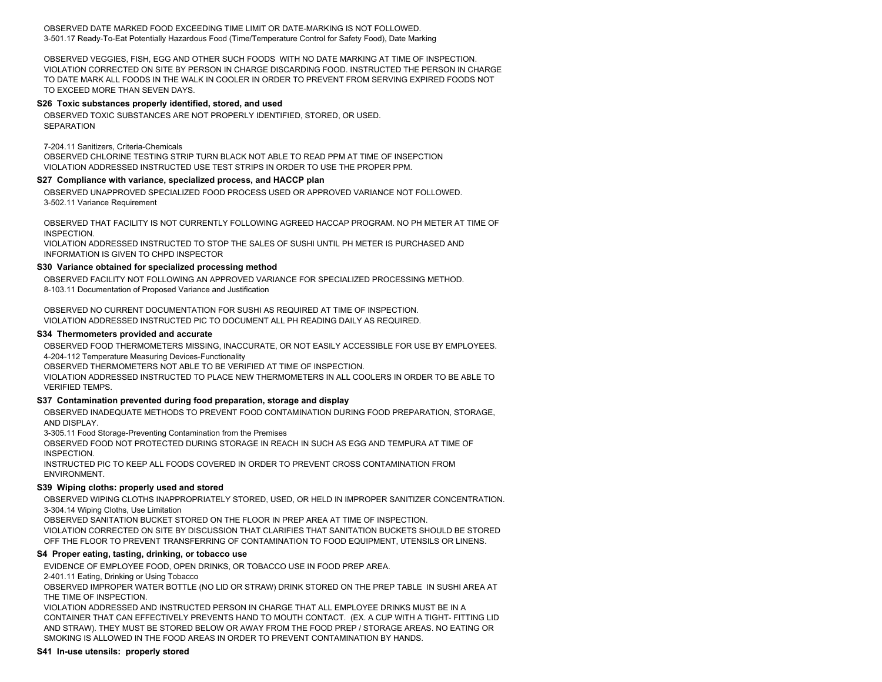OBSERVED DATE MARKED FOOD EXCEEDING TIME LIMIT OR DATE-MARKING IS NOT FOLLOWED. 3-501.17 Ready-To-Eat Potentially Hazardous Food (Time/Temperature Control for Safety Food), Date Marking

OBSERVED VEGGIES, FISH, EGG AND OTHER SUCH FOODS WITH NO DATE MARKING AT TIME OF INSPECTION. VIOLATION CORRECTED ON SITE BY PERSON IN CHARGE DISCARDING FOOD. INSTRUCTED THE PERSON IN CHARGE TO DATE MARK ALL FOODS IN THE WALK IN COOLER IN ORDER TO PREVENT FROM SERVING EXPIRED FOODS NOT TO EXCEED MORE THAN SEVEN DAYS.

### **S26 Toxic substances properly identified, stored, and used**

OBSERVED TOXIC SUBSTANCES ARE NOT PROPERLY IDENTIFIED, STORED, OR USED. **SEPARATION** 

#### 7-204.11 Sanitizers, Criteria-Chemicals

OBSERVED CHLORINE TESTING STRIP TURN BLACK NOT ABLE TO READ PPM AT TIME OF INSEPCTION VIOLATION ADDRESSED INSTRUCTED USE TEST STRIPS IN ORDER TO USE THE PROPER PPM.

#### **S27 Compliance with variance, specialized process, and HACCP plan**

OBSERVED UNAPPROVED SPECIALIZED FOOD PROCESS USED OR APPROVED VARIANCE NOT FOLLOWED. 3-502.11 Variance Requirement

OBSERVED THAT FACILITY IS NOT CURRENTLY FOLLOWING AGREED HACCAP PROGRAM. NO PH METER AT TIME OF INSPECTION.

VIOLATION ADDRESSED INSTRUCTED TO STOP THE SALES OF SUSHI UNTIL PH METER IS PURCHASED AND INFORMATION IS GIVEN TO CHPD INSPECTOR

#### **S30 Variance obtained for specialized processing method**

OBSERVED FACILITY NOT FOLLOWING AN APPROVED VARIANCE FOR SPECIALIZED PROCESSING METHOD. 8-103.11 Documentation of Proposed Variance and Justification

OBSERVED NO CURRENT DOCUMENTATION FOR SUSHI AS REQUIRED AT TIME OF INSPECTION. VIOLATION ADDRESSED INSTRUCTED PIC TO DOCUMENT ALL PH READING DAILY AS REQUIRED.

#### **S34 Thermometers provided and accurate**

OBSERVED FOOD THERMOMETERS MISSING, INACCURATE, OR NOT EASILY ACCESSIBLE FOR USE BY EMPLOYEES. 4-204-112 Temperature Measuring Devices-Functionality

OBSERVED THERMOMETERS NOT ABLE TO BE VERIFIED AT TIME OF INSPECTION.

VIOLATION ADDRESSED INSTRUCTED TO PLACE NEW THERMOMETERS IN ALL COOLERS IN ORDER TO BE ABLE TO VERIFIED TEMPS.

#### **S37 Contamination prevented during food preparation, storage and display**

OBSERVED INADEQUATE METHODS TO PREVENT FOOD CONTAMINATION DURING FOOD PREPARATION, STORAGE, AND DISPLAY.

3-305.11 Food Storage-Preventing Contamination from the Premises

OBSERVED FOOD NOT PROTECTED DURING STORAGE IN REACH IN SUCH AS EGG AND TEMPURA AT TIME OF INSPECTION.

INSTRUCTED PIC TO KEEP ALL FOODS COVERED IN ORDER TO PREVENT CROSS CONTAMINATION FROM ENVIRONMENT.

#### **S39 Wiping cloths: properly used and stored**

OBSERVED WIPING CLOTHS INAPPROPRIATELY STORED, USED, OR HELD IN IMPROPER SANITIZER CONCENTRATION. 3-304.14 Wiping Cloths, Use Limitation

OBSERVED SANITATION BUCKET STORED ON THE FLOOR IN PREP AREA AT TIME OF INSPECTION. VIOLATION CORRECTED ON SITE BY DISCUSSION THAT CLARIFIES THAT SANITATION BUCKETS SHOULD BE STORED OFF THE FLOOR TO PREVENT TRANSFERRING OF CONTAMINATION TO FOOD EQUIPMENT, UTENSILS OR LINENS.

#### **S4 Proper eating, tasting, drinking, or tobacco use**

EVIDENCE OF EMPLOYEE FOOD, OPEN DRINKS, OR TOBACCO USE IN FOOD PREP AREA.

2-401.11 Eating, Drinking or Using Tobacco

OBSERVED IMPROPER WATER BOTTLE (NO LID OR STRAW) DRINK STORED ON THE PREP TABLE IN SUSHI AREA AT THE TIME OF INSPECTION.

VIOLATION ADDRESSED AND INSTRUCTED PERSON IN CHARGE THAT ALL EMPLOYEE DRINKS MUST BE IN A CONTAINER THAT CAN EFFECTIVELY PREVENTS HAND TO MOUTH CONTACT. (EX. A CUP WITH A TIGHT- FITTING LID AND STRAW). THEY MUST BE STORED BELOW OR AWAY FROM THE FOOD PREP / STORAGE AREAS. NO EATING OR SMOKING IS ALLOWED IN THE FOOD AREAS IN ORDER TO PREVENT CONTAMINATION BY HANDS.

#### **S41 In-use utensils: properly stored**